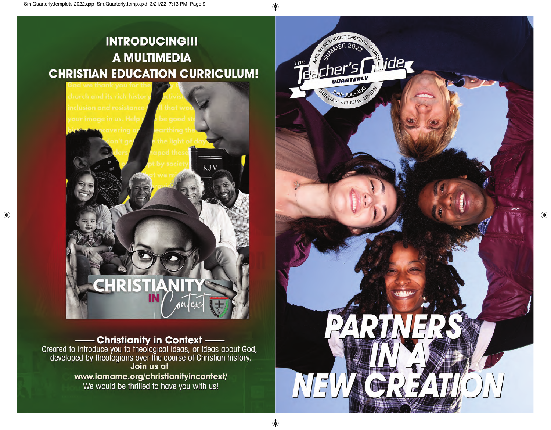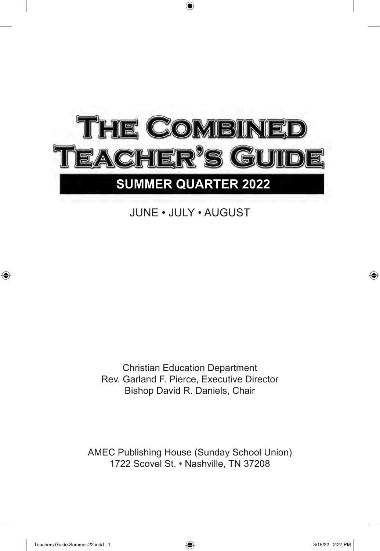

# JUNE • JULY • AUGUST

Christian Education Department Rev. Garland F. Pierce, Executive Director Bishop David R. Daniels, Chair

AMEC Publishing House (Sunday School Union) 1722 Scovel St. • Nashville, TN 37208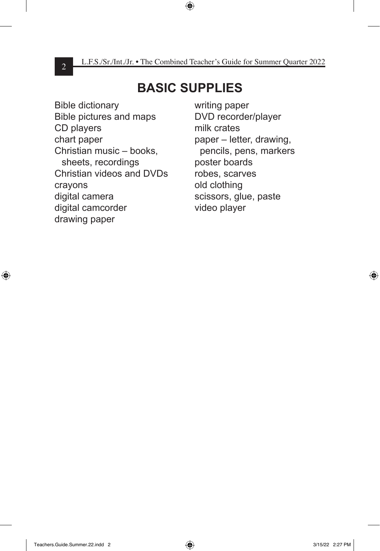# **BASIC SUPPLIES**

Bible dictionary Bible pictures and maps CD players chart paper Christian music – books, sheets, recordings Christian videos and DVDs crayons digital camera digital camcorder drawing paper

writing paper DVD recorder/player milk crates paper – letter, drawing, pencils, pens, markers poster boards robes, scarves old clothing scissors, glue, paste video player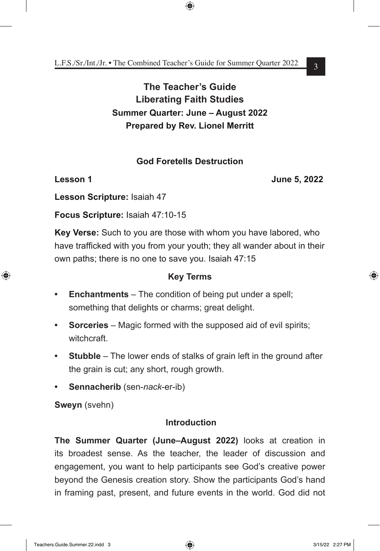# **The Teacher's Guide Liberating Faith Studies Summer Quarter: June – August 2022 Prepared by Rev. Lionel Merritt**

# **God Foretells Destruction**

**Lesson 1 June 5, 2022**

**Lesson Scripture:** Isaiah 47

**Focus Scripture:** Isaiah 47:10-15

**Key Verse:** Such to you are those with whom you have labored, who have trafficked with you from your youth; they all wander about in their own paths; there is no one to save you. Isaiah 47:15

# **Key Terms**

- **• Enchantments** The condition of being put under a spell; something that delights or charms; great delight.
- **• Sorceries** Magic formed with the supposed aid of evil spirits; witchcraft.
- **• Stubble** The lower ends of stalks of grain left in the ground after the grain is cut; any short, rough growth.
- **• Sennacherib** (sen-*nack*-er-ib)

**Sweyn** (svehn)

# **Introduction**

**The Summer Quarter (June–August 2022)** looks at creation in its broadest sense. As the teacher, the leader of discussion and engagement, you want to help participants see God's creative power beyond the Genesis creation story. Show the participants God's hand in framing past, present, and future events in the world. God did not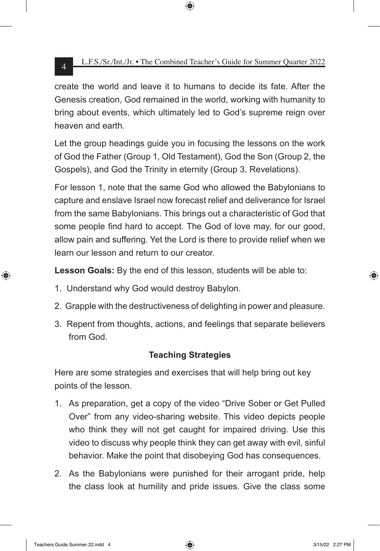create the world and leave it to humans to decide its fate. After the Genesis creation, God remained in the world, working with humanity to bring about events, which ultimately led to God's supreme reign over heaven and earth.

Let the group headings guide you in focusing the lessons on the work of God the Father (Group 1, Old Testament), God the Son (Group 2, the Gospels), and God the Trinity in eternity (Group 3, Revelations).

For lesson 1, note that the same God who allowed the Babylonians to capture and enslave Israel now forecast relief and deliverance for Israel from the same Babylonians. This brings out a characteristic of God that some people find hard to accept. The God of love may, for our good, allow pain and suffering. Yet the Lord is there to provide relief when we learn our lesson and return to our creator.

**Lesson Goals:** By the end of this lesson, students will be able to:

- 1. Understand why God would destroy Babylon.
- 2. Grapple with the destructiveness of delighting in power and pleasure.
- 3. Repent from thoughts, actions, and feelings that separate believers from God.

# **Teaching Strategies**

Here are some strategies and exercises that will help bring out key points of the lesson.

- 1. As preparation, get a copy of the video "Drive Sober or Get Pulled Over" from any video-sharing website. This video depicts people who think they will not get caught for impaired driving. Use this video to discuss why people think they can get away with evil, sinful behavior. Make the point that disobeying God has consequences.
- 2. As the Babylonians were punished for their arrogant pride, help the class look at humility and pride issues. Give the class some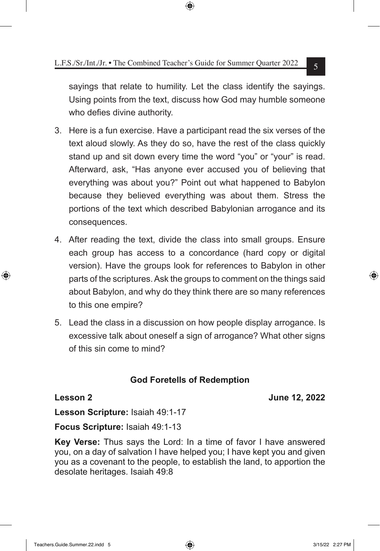sayings that relate to humility. Let the class identify the sayings. Using points from the text, discuss how God may humble someone who defies divine authority.

- 3. Here is a fun exercise. Have a participant read the six verses of the text aloud slowly. As they do so, have the rest of the class quickly stand up and sit down every time the word "you" or "your" is read. Afterward, ask, "Has anyone ever accused you of believing that everything was about you?" Point out what happened to Babylon because they believed everything was about them. Stress the portions of the text which described Babylonian arrogance and its consequences.
- 4. After reading the text, divide the class into small groups. Ensure each group has access to a concordance (hard copy or digital version). Have the groups look for references to Babylon in other parts of the scriptures. Ask the groups to comment on the things said about Babylon, and why do they think there are so many references to this one empire?
- 5. Lead the class in a discussion on how people display arrogance. Is excessive talk about oneself a sign of arrogance? What other signs of this sin come to mind?

# **God Foretells of Redemption**

**Lesson 2 June 12, 2022**

**Lesson Scripture:** Isaiah 49:1-17

**Focus Scripture:** Isaiah 49:1-13

**Key Verse:** Thus says the Lord: In a time of favor I have answered you, on a day of salvation I have helped you; I have kept you and given you as a covenant to the people, to establish the land, to apportion the desolate heritages. Isaiah 49:8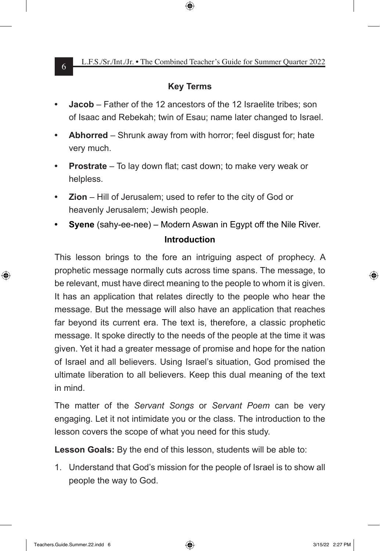## **Key Terms**

- **• Jacob** Father of the 12 ancestors of the 12 Israelite tribes; son of Isaac and Rebekah; twin of Esau; name later changed to Israel.
- **• Abhorred** Shrunk away from with horror; feel disgust for; hate very much.
- **• Prostrate** To lay down flat; cast down; to make very weak or helpless.
- **Zion** Hill of Jerusalem; used to refer to the city of God or heavenly Jerusalem; Jewish people.
- **• Syene** (sahy-ee-nee) Modern Aswan in Egypt off the Nile River. **Introduction**

This lesson brings to the fore an intriguing aspect of prophecy. A prophetic message normally cuts across time spans. The message, to be relevant, must have direct meaning to the people to whom it is given. It has an application that relates directly to the people who hear the message. But the message will also have an application that reaches far beyond its current era. The text is, therefore, a classic prophetic message. It spoke directly to the needs of the people at the time it was given. Yet it had a greater message of promise and hope for the nation of Israel and all believers. Using Israel's situation, God promised the ultimate liberation to all believers. Keep this dual meaning of the text in mind.

The matter of the *Servant Songs* or *Servant Poem* can be very engaging. Let it not intimidate you or the class. The introduction to the lesson covers the scope of what you need for this study.

**Lesson Goals:** By the end of this lesson, students will be able to:

1. Understand that God's mission for the people of Israel is to show all people the way to God.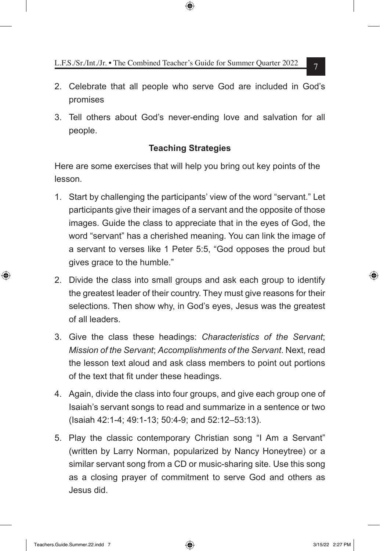- 2. Celebrate that all people who serve God are included in God's promises
- 3. Tell others about God's never-ending love and salvation for all people.

# **Teaching Strategies**

Here are some exercises that will help you bring out key points of the lesson.

- 1. Start by challenging the participants' view of the word "servant." Let participants give their images of a servant and the opposite of those images. Guide the class to appreciate that in the eyes of God, the word "servant" has a cherished meaning. You can link the image of a servant to verses like 1 Peter 5:5, "God opposes the proud but gives grace to the humble."
- 2. Divide the class into small groups and ask each group to identify the greatest leader of their country. They must give reasons for their selections. Then show why, in God's eyes, Jesus was the greatest of all leaders.
- 3. Give the class these headings: *Characteristics of the Servant*; *Mission of the Servant*; *Accomplishments of the Servant*. Next, read the lesson text aloud and ask class members to point out portions of the text that fit under these headings.
- 4. Again, divide the class into four groups, and give each group one of Isaiah's servant songs to read and summarize in a sentence or two (Isaiah 42:1-4; 49:1-13; 50:4-9; and 52:12–53:13).
- 5. Play the classic contemporary Christian song "I Am a Servant" (written by Larry Norman, popularized by Nancy Honeytree) or a similar servant song from a CD or music-sharing site. Use this song as a closing prayer of commitment to serve God and others as Jesus did.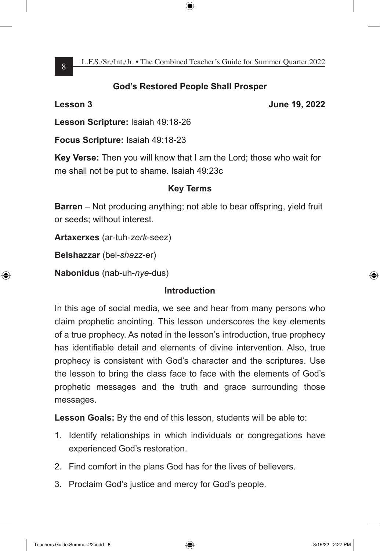# **God's Restored People Shall Prosper**

**Lesson 3 June 19, 2022**

**Lesson Scripture:** Isaiah 49:18-26

**Focus Scripture:** Isaiah 49:18-23

**Key Verse:** Then you will know that I am the Lord; those who wait for me shall not be put to shame. Isaiah 49:23c

# **Key Terms**

**Barren** – Not producing anything; not able to bear offspring, yield fruit or seeds; without interest.

**Artaxerxes** (ar-tuh-*zerk*-seez)

**Belshazzar** (bel-*shazz*-er)

**Nabonidus** (nab-uh-*nye*-dus)

# **Introduction**

In this age of social media, we see and hear from many persons who claim prophetic anointing. This lesson underscores the key elements of a true prophecy. As noted in the lesson's introduction, true prophecy has identifiable detail and elements of divine intervention. Also, true prophecy is consistent with God's character and the scriptures. Use the lesson to bring the class face to face with the elements of God's prophetic messages and the truth and grace surrounding those messages.

**Lesson Goals:** By the end of this lesson, students will be able to:

- 1. Identify relationships in which individuals or congregations have experienced God's restoration.
- 2. Find comfort in the plans God has for the lives of believers.
- 3. Proclaim God's justice and mercy for God's people.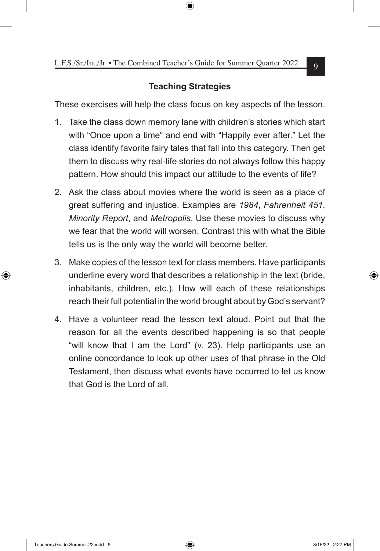# **Teaching Strategies**

These exercises will help the class focus on key aspects of the lesson.

- 1. Take the class down memory lane with children's stories which start with "Once upon a time" and end with "Happily ever after." Let the class identify favorite fairy tales that fall into this category. Then get them to discuss why real-life stories do not always follow this happy pattern. How should this impact our attitude to the events of life?
- 2. Ask the class about movies where the world is seen as a place of great suffering and injustice. Examples are *1984*, *Fahrenheit 451*, *Minority Report*, and *Metropolis*. Use these movies to discuss why we fear that the world will worsen. Contrast this with what the Bible tells us is the only way the world will become better.
- 3. Make copies of the lesson text for class members. Have participants underline every word that describes a relationship in the text (bride, inhabitants, children, etc.). How will each of these relationships reach their full potential in the world brought about by God's servant?
- 4. Have a volunteer read the lesson text aloud. Point out that the reason for all the events described happening is so that people "will know that I am the Lord" (v. 23). Help participants use an online concordance to look up other uses of that phrase in the Old Testament, then discuss what events have occurred to let us know that God is the Lord of all.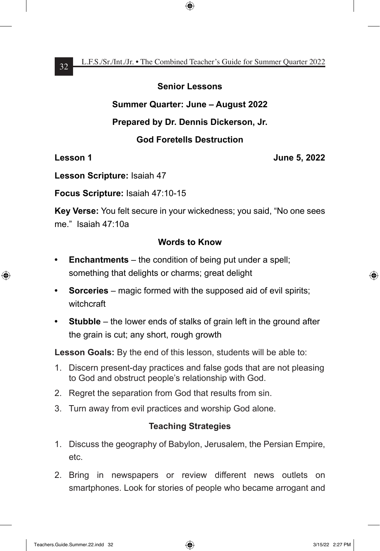#### **Senior Lessons**

### **Summer Quarter: June – August 2022**

### **Prepared by Dr. Dennis Dickerson, Jr.**

# **God Foretells Destruction**

#### **Lesson 1 June 5, 2022**

**Lesson Scripture:** Isaiah 47

**Focus Scripture:** Isaiah 47:10-15

**Key Verse:** You felt secure in your wickedness; you said, "No one sees me." Isaiah 47:10a

# **Words to Know**

- **• Enchantments** the condition of being put under a spell; something that delights or charms; great delight
- **• Sorceries** magic formed with the supposed aid of evil spirits; witchcraft
- **• Stubble** the lower ends of stalks of grain left in the ground after the grain is cut; any short, rough growth

**Lesson Goals:** By the end of this lesson, students will be able to:

- 1. Discern present-day practices and false gods that are not pleasing to God and obstruct people's relationship with God.
- 2. Regret the separation from God that results from sin.
- 3. Turn away from evil practices and worship God alone.

- 1. Discuss the geography of Babylon, Jerusalem, the Persian Empire, etc.
- 2. Bring in newspapers or review different news outlets on smartphones. Look for stories of people who became arrogant and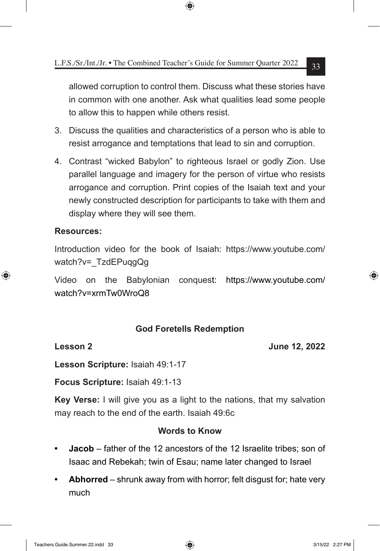allowed corruption to control them. Discuss what these stories have in common with one another. Ask what qualities lead some people to allow this to happen while others resist.

- 3. Discuss the qualities and characteristics of a person who is able to resist arrogance and temptations that lead to sin and corruption.
- 4. Contrast "wicked Babylon" to righteous Israel or godly Zion. Use parallel language and imagery for the person of virtue who resists arrogance and corruption. Print copies of the Isaiah text and your newly constructed description for participants to take with them and display where they will see them.

### **Resources:**

Introduction video for the book of Isaiah: https://www.youtube.com/ watch?v= TzdEPuqgQg

Video on the Babylonian conquest: https://www.youtube.com/ watch?v=xrmTw0WroQ8

# **God Foretells Redemption**

**Lesson 2 June 12, 2022**

**Lesson Scripture:** Isaiah 49:1-17

**Focus Scripture:** Isaiah 49:1-13

**Key Verse:** I will give you as a light to the nations, that my salvation may reach to the end of the earth. Isaiah 49:6c

#### **Words to Know**

- **• Jacob** father of the 12 ancestors of the 12 Israelite tribes; son of Isaac and Rebekah; twin of Esau; name later changed to Israel
- **• Abhorred** shrunk away from with horror; felt disgust for; hate very much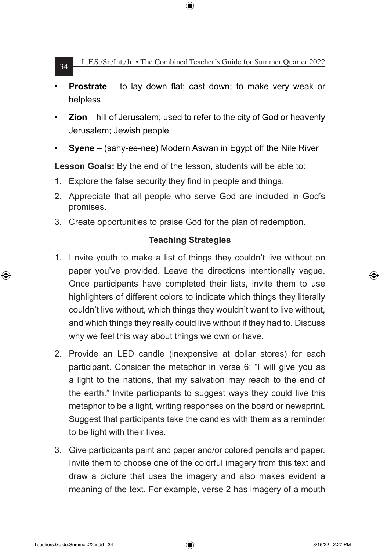- **• Prostrate** to lay down flat; cast down; to make very weak or helpless
- **• Zion** hill of Jerusalem; used to refer to the city of God or heavenly Jerusalem; Jewish people
- **• Syene** (sahy-ee-nee) Modern Aswan in Egypt off the Nile River

**Lesson Goals:** By the end of the lesson, students will be able to:

- 1. Explore the false security they find in people and things.
- 2. Appreciate that all people who serve God are included in God's promises.
- 3. Create opportunities to praise God for the plan of redemption.

- 1. I nvite youth to make a list of things they couldn't live without on paper you've provided. Leave the directions intentionally vague. Once participants have completed their lists, invite them to use highlighters of different colors to indicate which things they literally couldn't live without, which things they wouldn't want to live without, and which things they really could live without if they had to. Discuss why we feel this way about things we own or have.
- 2. Provide an LED candle (inexpensive at dollar stores) for each participant. Consider the metaphor in verse 6: "I will give you as a light to the nations, that my salvation may reach to the end of the earth." Invite participants to suggest ways they could live this metaphor to be a light, writing responses on the board or newsprint. Suggest that participants take the candles with them as a reminder to be light with their lives.
- 3. Give participants paint and paper and/or colored pencils and paper. Invite them to choose one of the colorful imagery from this text and draw a picture that uses the imagery and also makes evident a meaning of the text. For example, verse 2 has imagery of a mouth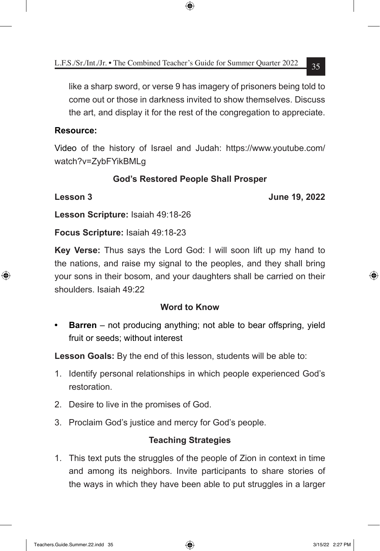like a sharp sword, or verse 9 has imagery of prisoners being told to come out or those in darkness invited to show themselves. Discuss the art, and display it for the rest of the congregation to appreciate.

#### **Resource:**

Video of the history of Israel and Judah: https://www.youtube.com/ watch?v=ZybFYikBMLg

# **God's Restored People Shall Prosper**

**Lesson 3 June 19, 2022**

**Lesson Scripture:** Isaiah 49:18-26

**Focus Scripture:** Isaiah 49:18-23

**Key Verse:** Thus says the Lord God: I will soon lift up my hand to the nations, and raise my signal to the peoples, and they shall bring your sons in their bosom, and your daughters shall be carried on their shoulders. Isaiah 49:22

#### **Word to Know**

**Barren** – not producing anything; not able to bear offspring, yield fruit or seeds; without interest

**Lesson Goals:** By the end of this lesson, students will be able to:

- 1. Identify personal relationships in which people experienced God's restoration.
- 2. Desire to live in the promises of God.
- 3. Proclaim God's justice and mercy for God's people.

# **Teaching Strategies**

1. This text puts the struggles of the people of Zion in context in time and among its neighbors. Invite participants to share stories of the ways in which they have been able to put struggles in a larger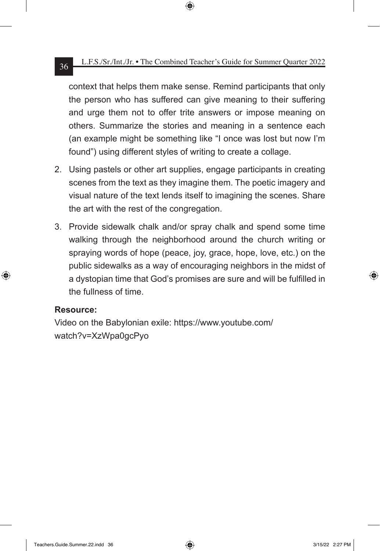context that helps them make sense. Remind participants that only the person who has suffered can give meaning to their suffering and urge them not to offer trite answers or impose meaning on others. Summarize the stories and meaning in a sentence each (an example might be something like "I once was lost but now I'm found") using different styles of writing to create a collage.

- 2. Using pastels or other art supplies, engage participants in creating scenes from the text as they imagine them. The poetic imagery and visual nature of the text lends itself to imagining the scenes. Share the art with the rest of the congregation.
- 3. Provide sidewalk chalk and/or spray chalk and spend some time walking through the neighborhood around the church writing or spraying words of hope (peace, joy, grace, hope, love, etc.) on the public sidewalks as a way of encouraging neighbors in the midst of a dystopian time that God's promises are sure and will be fulfilled in the fullness of time.

#### **Resource:**

Video on the Babylonian exile: https://www.youtube.com/ watch?v=XzWpa0gcPyo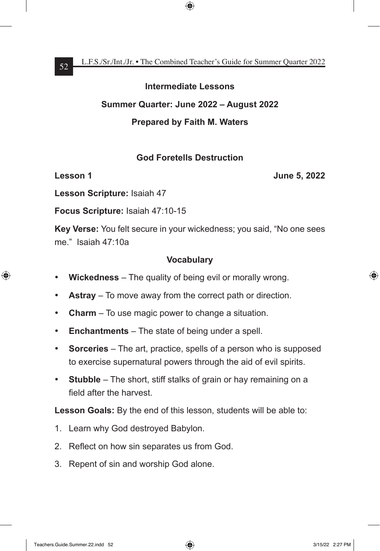#### **Intermediate Lessons**

#### **Summer Quarter: June 2022 – August 2022**

### **Prepared by Faith M. Waters**

#### **God Foretells Destruction**

**Lesson 1 Designation 1 June 5, 2022** 

**Lesson Scripture:** Isaiah 47

**Focus Scripture:** Isaiah 47:10-15

**Key Verse:** You felt secure in your wickedness; you said, "No one sees me." Isaiah 47:10a

### **Vocabulary**

- • **Wickedness** The quality of being evil or morally wrong.
- • **Astray** To move away from the correct path or direction.
- **Charm** To use magic power to change a situation.
- • **Enchantments** The state of being under a spell.
- **Sorceries** The art, practice, spells of a person who is supposed to exercise supernatural powers through the aid of evil spirits.
- **Stubble** The short, stiff stalks of grain or hay remaining on a field after the harvest.

**Lesson Goals:** By the end of this lesson, students will be able to:

- 1. Learn why God destroyed Babylon.
- 2. Reflect on how sin separates us from God.
- 3. Repent of sin and worship God alone.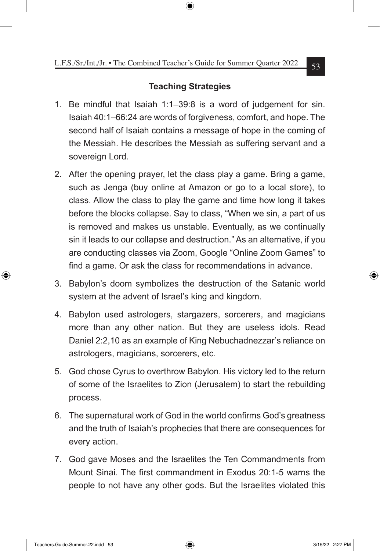- 1. Be mindful that Isaiah 1:1–39:8 is a word of judgement for sin. Isaiah 40:1–66:24 are words of forgiveness, comfort, and hope. The second half of Isaiah contains a message of hope in the coming of the Messiah. He describes the Messiah as suffering servant and a sovereign Lord.
- 2. After the opening prayer, let the class play a game. Bring a game, such as Jenga (buy online at Amazon or go to a local store), to class. Allow the class to play the game and time how long it takes before the blocks collapse. Say to class, "When we sin, a part of us is removed and makes us unstable. Eventually, as we continually sin it leads to our collapse and destruction." As an alternative, if you are conducting classes via Zoom, Google "Online Zoom Games" to find a game. Or ask the class for recommendations in advance.
- 3. Babylon's doom symbolizes the destruction of the Satanic world system at the advent of Israel's king and kingdom.
- 4. Babylon used astrologers, stargazers, sorcerers, and magicians more than any other nation. But they are useless idols. Read Daniel 2:2,10 as an example of King Nebuchadnezzar's reliance on astrologers, magicians, sorcerers, etc.
- 5. God chose Cyrus to overthrow Babylon. His victory led to the return of some of the Israelites to Zion (Jerusalem) to start the rebuilding process.
- 6. The supernatural work of God in the world confirms God's greatness and the truth of Isaiah's prophecies that there are consequences for every action.
- 7. God gave Moses and the Israelites the Ten Commandments from Mount Sinai. The first commandment in Exodus 20:1-5 warns the people to not have any other gods. But the Israelites violated this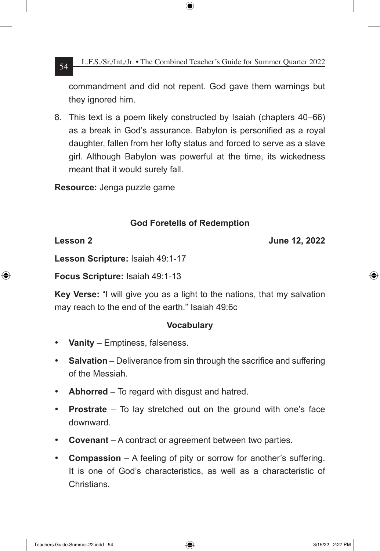commandment and did not repent. God gave them warnings but they ignored him.

8. This text is a poem likely constructed by Isaiah (chapters 40–66) as a break in God's assurance. Babylon is personified as a royal daughter, fallen from her lofty status and forced to serve as a slave girl. Although Babylon was powerful at the time, its wickedness meant that it would surely fall.

**Resource:** Jenga puzzle game

# **God Foretells of Redemption**

**Lesson 2 June 12, 2022**

**Lesson Scripture:** Isaiah 49:1-17

**Focus Scripture:** Isaiah 49:1-13

**Key Verse:** "I will give you as a light to the nations, that my salvation may reach to the end of the earth." Isaiah 49:6c

#### **Vocabulary**

- • **Vanity** Emptiness, falseness.
- **Salvation** Deliverance from sin through the sacrifice and suffering of the Messiah.
- • **Abhorred** To regard with disgust and hatred.
- **Prostrate** To lay stretched out on the ground with one's face downward.
- **Covenant** A contract or agreement between two parties.
- • **Compassion** A feeling of pity or sorrow for another's suffering. It is one of God's characteristics, as well as a characteristic of **Christians**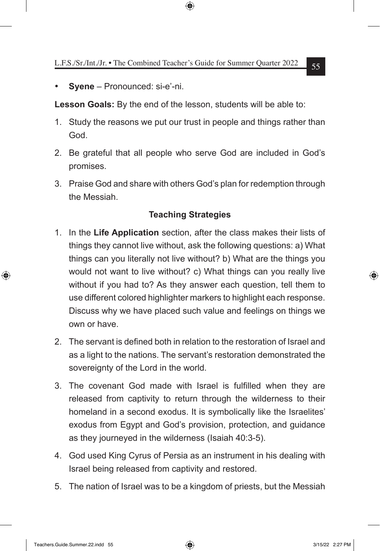Syene – Pronounced: si-e'-ni.

**Lesson Goals:** By the end of the lesson, students will be able to:

- 1. Study the reasons we put our trust in people and things rather than God.
- 2. Be grateful that all people who serve God are included in God's promises.
- 3. Praise God and share with others God's plan for redemption through the Messiah.

- 1. In the **Life Application** section, after the class makes their lists of things they cannot live without, ask the following questions: a) What things can you literally not live without? b) What are the things you would not want to live without? c) What things can you really live without if you had to? As they answer each question, tell them to use different colored highlighter markers to highlight each response. Discuss why we have placed such value and feelings on things we own or have.
- 2. The servant is defined both in relation to the restoration of Israel and as a light to the nations. The servant's restoration demonstrated the sovereignty of the Lord in the world.
- 3. The covenant God made with Israel is fulfilled when they are released from captivity to return through the wilderness to their homeland in a second exodus. It is symbolically like the Israelites' exodus from Egypt and God's provision, protection, and guidance as they journeyed in the wilderness (Isaiah 40:3-5).
- 4. God used King Cyrus of Persia as an instrument in his dealing with Israel being released from captivity and restored.
- 5. The nation of Israel was to be a kingdom of priests, but the Messiah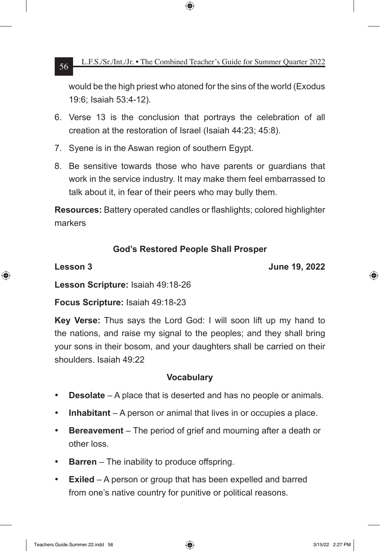would be the high priest who atoned for the sins of the world (Exodus 19:6; Isaiah 53:4-12).

- 6. Verse 13 is the conclusion that portrays the celebration of all creation at the restoration of Israel (Isaiah 44:23; 45:8).
- 7. Syene is in the Aswan region of southern Egypt.
- 8. Be sensitive towards those who have parents or guardians that work in the service industry. It may make them feel embarrassed to talk about it, in fear of their peers who may bully them.

**Resources:** Battery operated candles or flashlights; colored highlighter markers

# **God's Restored People Shall Prosper**

**Lesson 3 June 19, 2022**

**Lesson Scripture:** Isaiah 49:18-26

**Focus Scripture:** Isaiah 49:18-23

**Key Verse:** Thus says the Lord God: I will soon lift up my hand to the nations, and raise my signal to the peoples; and they shall bring your sons in their bosom, and your daughters shall be carried on their shoulders. Isaiah 49:22

# **Vocabulary**

- • **Desolate** A place that is deserted and has no people or animals.
- **Inhabitant** A person or animal that lives in or occupies a place.
- • **Bereavement** The period of grief and mourning after a death or other loss.
- • **Barren** The inability to produce offspring.
- • **Exiled** A person or group that has been expelled and barred from one's native country for punitive or political reasons.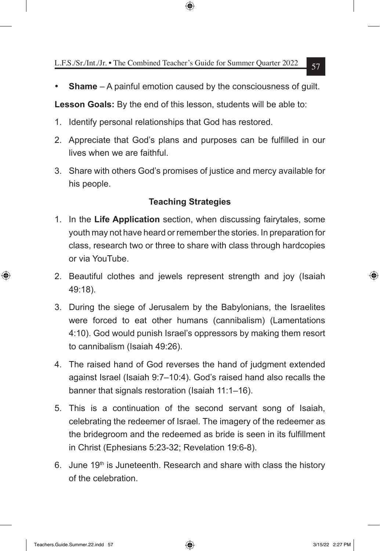**Shame** – A painful emotion caused by the consciousness of guilt.

**Lesson Goals:** By the end of this lesson, students will be able to:

- 1. Identify personal relationships that God has restored.
- 2. Appreciate that God's plans and purposes can be fulfilled in our lives when we are faithful.
- 3. Share with others God's promises of justice and mercy available for his people.

- 1. In the **Life Application** section, when discussing fairytales, some youth may not have heard or remember the stories. In preparation for class, research two or three to share with class through hardcopies or via YouTube.
- 2. Beautiful clothes and jewels represent strength and joy (Isaiah 49:18).
- 3. During the siege of Jerusalem by the Babylonians, the Israelites were forced to eat other humans (cannibalism) (Lamentations 4:10). God would punish Israel's oppressors by making them resort to cannibalism (Isaiah 49:26).
- 4. The raised hand of God reverses the hand of judgment extended against Israel (Isaiah 9:7–10:4). God's raised hand also recalls the banner that signals restoration (Isaiah 11:1–16).
- 5. This is a continuation of the second servant song of Isaiah, celebrating the redeemer of Israel. The imagery of the redeemer as the bridegroom and the redeemed as bride is seen in its fulfillment in Christ (Ephesians 5:23-32; Revelation 19:6-8).
- 6. June  $19<sup>th</sup>$  is Juneteenth. Research and share with class the history of the celebration.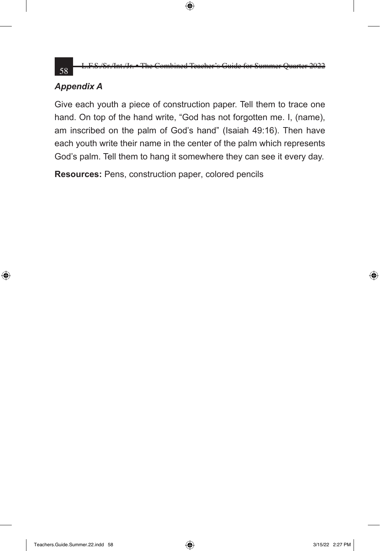58 L.F.S./Sr./Int./Jr. • The Combined Teacher's Guide for Summer Quarter

# *Appendix A*

Give each youth a piece of construction paper. Tell them to trace one hand. On top of the hand write, "God has not forgotten me. I, (name), am inscribed on the palm of God's hand" (Isaiah 49:16). Then have each youth write their name in the center of the palm which represents God's palm. Tell them to hang it somewhere they can see it every day.

**Resources:** Pens, construction paper, colored pencils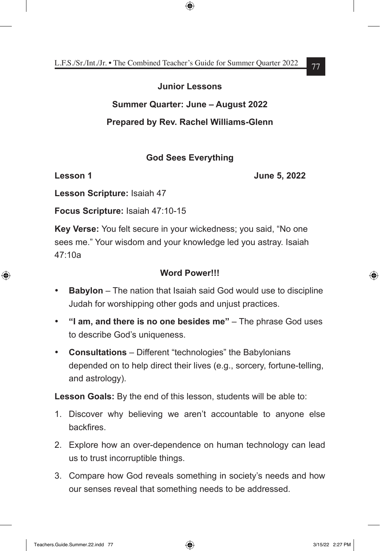### **Junior Lessons**

# **Summer Quarter: June – August 2022**

# **Prepared by Rev. Rachel Williams-Glenn**

# **God Sees Everything**

**Lesson 1 June 5, 2022** 

**Lesson Scripture:** Isaiah 47

**Focus Scripture:** Isaiah 47:10-15

**Key Verse:** You felt secure in your wickedness; you said, "No one sees me." Your wisdom and your knowledge led you astray. Isaiah 47:10a

# **Word Power!!!**

- • **Babylon** The nation that Isaiah said God would use to discipline Judah for worshipping other gods and unjust practices.
- • **"I am, and there is no one besides me"** The phrase God uses to describe God's uniqueness.
- • **Consultations** Different "technologies" the Babylonians depended on to help direct their lives (e.g., sorcery, fortune-telling, and astrology).

**Lesson Goals:** By the end of this lesson, students will be able to:

- 1. Discover why believing we aren't accountable to anyone else **backfires**
- 2. Explore how an over-dependence on human technology can lead us to trust incorruptible things.
- 3. Compare how God reveals something in society's needs and how our senses reveal that something needs to be addressed.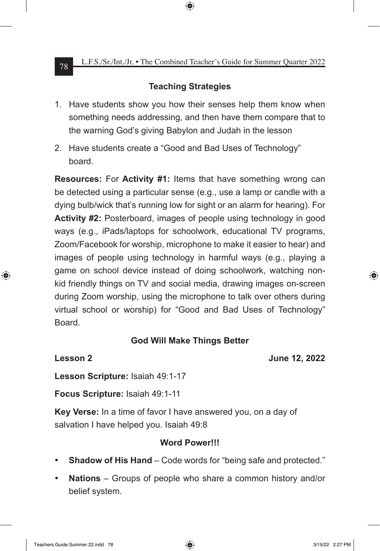# **Teaching Strategies**

- 1. Have students show you how their senses help them know when something needs addressing, and then have them compare that to the warning God's giving Babylon and Judah in the lesson
- 2. Have students create a "Good and Bad Uses of Technology" board.

**Resources:** For **Activity #1:** Items that have something wrong can be detected using a particular sense (e.g., use a lamp or candle with a dying bulb/wick that's running low for sight or an alarm for hearing). For **Activity #2:** Posterboard, images of people using technology in good ways (e.g., iPads/laptops for schoolwork, educational TV programs, Zoom/Facebook for worship, microphone to make it easier to hear) and images of people using technology in harmful ways (e.g., playing a game on school device instead of doing schoolwork, watching nonkid friendly things on TV and social media, drawing images on-screen during Zoom worship, using the microphone to talk over others during virtual school or worship) for "Good and Bad Uses of Technology" Board.

# **God Will Make Things Better**

**Lesson 2 June 12, 2022**

**Lesson Scripture:** Isaiah 49:1-17

**Focus Scripture:** Isaiah 49:1-11

**Key Verse:** In a time of favor I have answered you, on a day of salvation I have helped you. Isaiah 49:8

#### **Word Power!!!**

- **Shadow of His Hand** Code words for "being safe and protected."
- • **Nations** Groups of people who share a common history and/or belief system.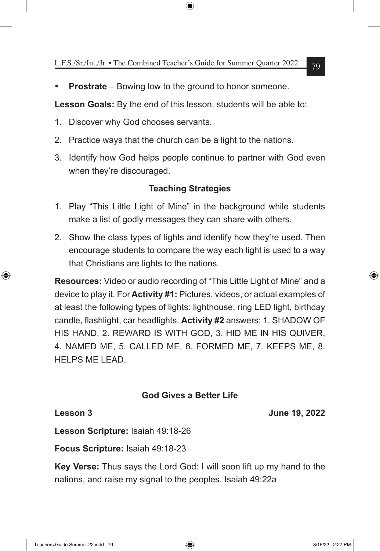**Prostrate** – Bowing low to the ground to honor someone.

**Lesson Goals:** By the end of this lesson, students will be able to:

- 1. Discover why God chooses servants.
- 2. Practice ways that the church can be a light to the nations.
- 3. Identify how God helps people continue to partner with God even when they're discouraged.

# **Teaching Strategies**

- 1. Play "This Little Light of Mine" in the background while students make a list of godly messages they can share with others.
- 2. Show the class types of lights and identify how they're used. Then encourage students to compare the way each light is used to a way that Christians are lights to the nations.

**Resources:** Video or audio recording of "This Little Light of Mine" and a device to play it. For **Activity #1:** Pictures, videos, or actual examples of at least the following types of lights: lighthouse, ring LED light, birthday candle, flashlight, car headlights. **Activity #2** answers: 1. SHADOW OF HIS HAND, 2. REWARD IS WITH GOD, 3. HID ME IN HIS QUIVER, 4. NAMED ME, 5. CALLED ME, 6. FORMED ME, 7. KEEPS ME, 8. HELPS ME LEAD.

# **God Gives a Better Life**

**Lesson 3 June 19, 2022**

**Lesson Scripture:** Isaiah 49:18-26

**Focus Scripture:** Isaiah 49:18-23

**Key Verse:** Thus says the Lord God: I will soon lift up my hand to the nations, and raise my signal to the peoples. Isaiah 49:22a